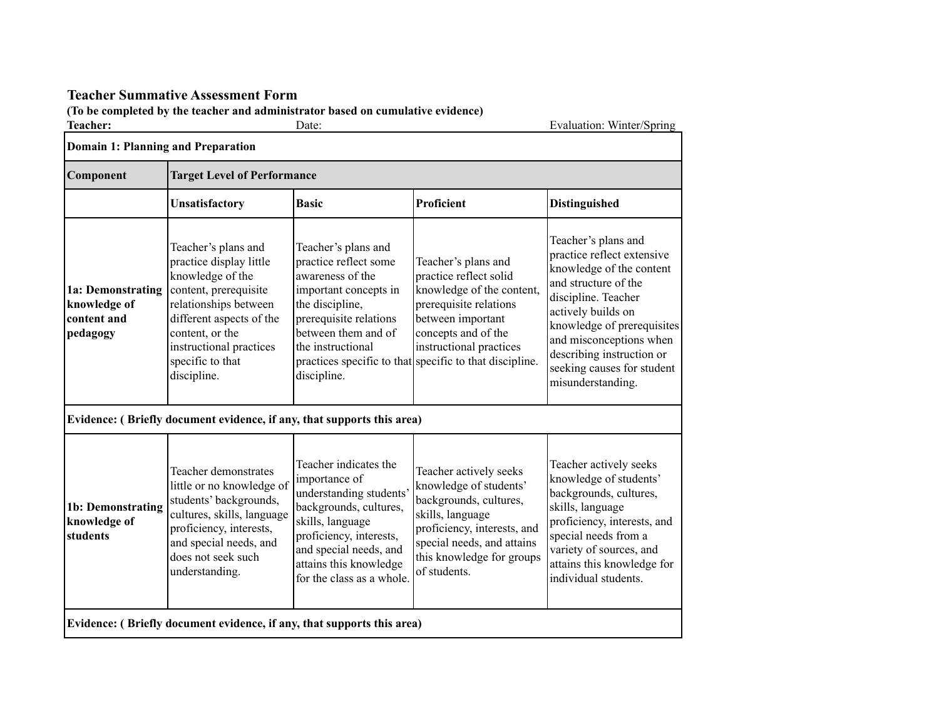## **Teacher Summative Assessment Form**

## **(To be completed by the teacher and administrator based on cumulative evidence)**

| Teacher:                                                     |                                                                                                                                                                                                                                   | Date:                                                                                                                                                                                                                       |                                                                                                                                                                                                                                        | Evaluation: Winter/Spring                                                                                                                                                                                                                                                                   |  |  |  |
|--------------------------------------------------------------|-----------------------------------------------------------------------------------------------------------------------------------------------------------------------------------------------------------------------------------|-----------------------------------------------------------------------------------------------------------------------------------------------------------------------------------------------------------------------------|----------------------------------------------------------------------------------------------------------------------------------------------------------------------------------------------------------------------------------------|---------------------------------------------------------------------------------------------------------------------------------------------------------------------------------------------------------------------------------------------------------------------------------------------|--|--|--|
| Domain 1: Planning and Preparation                           |                                                                                                                                                                                                                                   |                                                                                                                                                                                                                             |                                                                                                                                                                                                                                        |                                                                                                                                                                                                                                                                                             |  |  |  |
| Component                                                    |                                                                                                                                                                                                                                   | <b>Target Level of Performance</b>                                                                                                                                                                                          |                                                                                                                                                                                                                                        |                                                                                                                                                                                                                                                                                             |  |  |  |
|                                                              | Unsatisfactory                                                                                                                                                                                                                    | <b>Basic</b>                                                                                                                                                                                                                | Proficient                                                                                                                                                                                                                             | <b>Distinguished</b>                                                                                                                                                                                                                                                                        |  |  |  |
| 1a: Demonstrating<br>knowledge of<br>content and<br>pedagogy | Teacher's plans and<br>practice display little<br>knowledge of the<br>content, prerequisite<br>relationships between<br>different aspects of the<br>content, or the<br>instructional practices<br>specific to that<br>discipline. | Teacher's plans and<br>practice reflect some<br>awareness of the<br>important concepts in<br>the discipline,<br>prerequisite relations<br>between them and of<br>the instructional<br>discipline.                           | Teacher's plans and<br>practice reflect solid<br>knowledge of the content,<br>prerequisite relations<br>between important<br>concepts and of the<br>instructional practices<br>practices specific to that specific to that discipline. | Teacher's plans and<br>practice reflect extensive<br>knowledge of the content<br>and structure of the<br>discipline. Teacher<br>actively builds on<br>knowledge of prerequisites<br>and misconceptions when<br>describing instruction or<br>seeking causes for student<br>misunderstanding. |  |  |  |
|                                                              | Evidence: (Briefly document evidence, if any, that supports this area)                                                                                                                                                            |                                                                                                                                                                                                                             |                                                                                                                                                                                                                                        |                                                                                                                                                                                                                                                                                             |  |  |  |
| 1b: Demonstrating<br>knowledge of<br>students                | Teacher demonstrates<br>little or no knowledge of<br>students' backgrounds,<br>cultures, skills, language<br>proficiency, interests,<br>and special needs, and<br>does not seek such<br>understanding.                            | Teacher indicates the<br>importance of<br>understanding students'<br>backgrounds, cultures,<br>skills, language<br>proficiency, interests,<br>and special needs, and<br>attains this knowledge<br>for the class as a whole. | Teacher actively seeks<br>knowledge of students'<br>backgrounds, cultures,<br>skills, language<br>proficiency, interests, and<br>special needs, and attains<br>this knowledge for groups<br>of students.                               | Teacher actively seeks<br>knowledge of students'<br>backgrounds, cultures,<br>skills, language<br>proficiency, interests, and<br>special needs from a<br>variety of sources, and<br>attains this knowledge for<br>individual students.                                                      |  |  |  |
|                                                              | Evidence: (Briefly document evidence, if any, that supports this area)                                                                                                                                                            |                                                                                                                                                                                                                             |                                                                                                                                                                                                                                        |                                                                                                                                                                                                                                                                                             |  |  |  |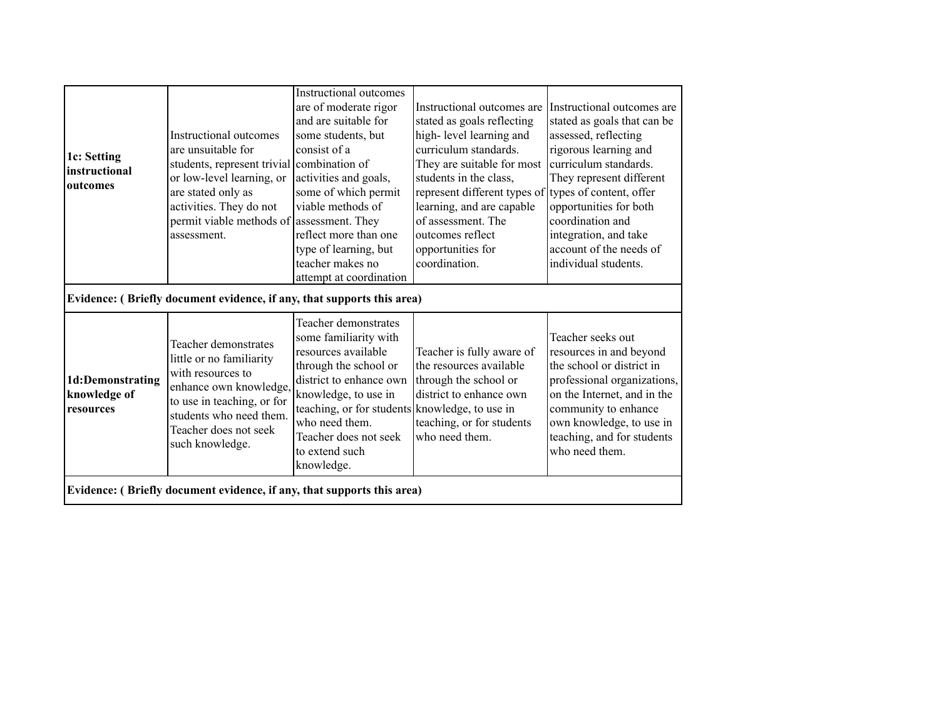| 1c: Setting<br>linstructional<br>outcomes     | Instructional outcomes<br>are unsuitable for<br>students, represent trivial combination of<br>or low-level learning, or<br>are stated only as<br>activities. They do not<br>permit viable methods of assessment. They<br>assessment.<br>Evidence: (Briefly document evidence, if any, that supports this area) | <b>Instructional</b> outcomes<br>are of moderate rigor<br>and are suitable for<br>some students, but<br>consist of a<br>activities and goals,<br>some of which permit<br>viable methods of<br>reflect more than one<br>type of learning, but<br>teacher makes no<br>attempt at coordination | Instructional outcomes are<br>stated as goals reflecting<br>high-level learning and<br>curriculum standards.<br>They are suitable for most<br>students in the class,<br>represent different types of types of content, offer<br>learning, and are capable<br>of assessment. The<br>outcomes reflect<br>opportunities for<br>coordination. | Instructional outcomes are<br>stated as goals that can be<br>assessed, reflecting<br>rigorous learning and<br>curriculum standards.<br>They represent different<br>opportunities for both<br>coordination and<br>integration, and take<br>account of the needs of<br>individual students. |
|-----------------------------------------------|----------------------------------------------------------------------------------------------------------------------------------------------------------------------------------------------------------------------------------------------------------------------------------------------------------------|---------------------------------------------------------------------------------------------------------------------------------------------------------------------------------------------------------------------------------------------------------------------------------------------|-------------------------------------------------------------------------------------------------------------------------------------------------------------------------------------------------------------------------------------------------------------------------------------------------------------------------------------------|-------------------------------------------------------------------------------------------------------------------------------------------------------------------------------------------------------------------------------------------------------------------------------------------|
| 1d:Demonstrating<br>knowledge of<br>resources | Teacher demonstrates<br>little or no familiarity<br>with resources to<br>enhance own knowledge,<br>to use in teaching, or for<br>students who need them.<br>Teacher does not seek<br>such knowledge.                                                                                                           | <b>Teacher demonstrates</b><br>some familiarity with<br>resources available<br>through the school or<br>district to enhance own<br>knowledge, to use in<br>teaching, or for students knowledge, to use in<br>who need them.<br>Teacher does not seek<br>to extend such<br>knowledge.        | Teacher is fully aware of<br>the resources available<br>through the school or<br>district to enhance own<br>teaching, or for students<br>who need them.                                                                                                                                                                                   | Teacher seeks out<br>resources in and beyond<br>the school or district in<br>professional organizations,<br>on the Internet, and in the<br>community to enhance<br>own knowledge, to use in<br>teaching, and for students<br>who need them.                                               |
|                                               | Evidence: (Briefly document evidence, if any, that supports this area)                                                                                                                                                                                                                                         |                                                                                                                                                                                                                                                                                             |                                                                                                                                                                                                                                                                                                                                           |                                                                                                                                                                                                                                                                                           |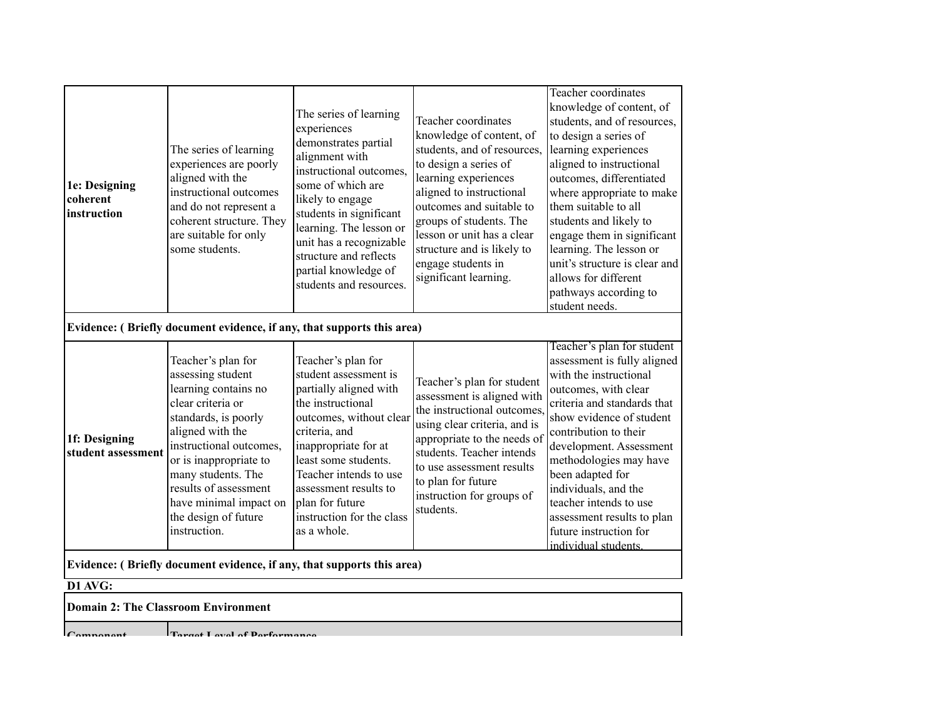| 1e: Designing<br>coherent<br>instruction                               | The series of learning<br>experiences are poorly<br>aligned with the<br>instructional outcomes<br>and do not represent a<br>coherent structure. They<br>are suitable for only<br>some students.                                                                                                        | The series of learning<br>experiences<br>demonstrates partial<br>alignment with<br>instructional outcomes.<br>some of which are<br>likely to engage<br>students in significant<br>learning. The lesson or<br>unit has a recognizable<br>structure and reflects<br>partial knowledge of<br>students and resources. | Teacher coordinates<br>knowledge of content, of<br>students, and of resources,<br>to design a series of<br>learning experiences<br>aligned to instructional<br>outcomes and suitable to<br>groups of students. The<br>lesson or unit has a clear<br>structure and is likely to<br>engage students in<br>significant learning. | Teacher coordinates<br>knowledge of content, of<br>students, and of resources,<br>to design a series of<br>learning experiences<br>aligned to instructional<br>outcomes, differentiated<br>where appropriate to make<br>them suitable to all<br>students and likely to<br>engage them in significant<br>learning. The lesson or<br>unit's structure is clear and<br>allows for different<br>pathways according to<br>student needs. |  |  |
|------------------------------------------------------------------------|--------------------------------------------------------------------------------------------------------------------------------------------------------------------------------------------------------------------------------------------------------------------------------------------------------|-------------------------------------------------------------------------------------------------------------------------------------------------------------------------------------------------------------------------------------------------------------------------------------------------------------------|-------------------------------------------------------------------------------------------------------------------------------------------------------------------------------------------------------------------------------------------------------------------------------------------------------------------------------|-------------------------------------------------------------------------------------------------------------------------------------------------------------------------------------------------------------------------------------------------------------------------------------------------------------------------------------------------------------------------------------------------------------------------------------|--|--|
| Evidence: (Briefly document evidence, if any, that supports this area) |                                                                                                                                                                                                                                                                                                        |                                                                                                                                                                                                                                                                                                                   |                                                                                                                                                                                                                                                                                                                               |                                                                                                                                                                                                                                                                                                                                                                                                                                     |  |  |
| 1f: Designing<br>student assessment                                    | Teacher's plan for<br>assessing student<br>learning contains no<br>clear criteria or<br>standards, is poorly<br>aligned with the<br>instructional outcomes,<br>or is inappropriate to<br>many students. The<br>results of assessment<br>have minimal impact on<br>the design of future<br>instruction. | Teacher's plan for<br>student assessment is<br>partially aligned with<br>the instructional<br>outcomes, without clear<br>criteria, and<br>inappropriate for at<br>least some students.<br>Teacher intends to use<br>assessment results to<br>plan for future<br>instruction for the class<br>as a whole.          | Teacher's plan for student<br>assessment is aligned with<br>the instructional outcomes.<br>using clear criteria, and is<br>appropriate to the needs of<br>students. Teacher intends<br>to use assessment results<br>to plan for future<br>instruction for groups of<br>students.                                              | Teacher's plan for student<br>assessment is fully aligned<br>with the instructional<br>outcomes, with clear<br>criteria and standards that<br>show evidence of student<br>contribution to their<br>development. Assessment<br>methodologies may have<br>been adapted for<br>individuals, and the<br>teacher intends to use<br>assessment results to plan<br>future instruction for<br>individual students.                          |  |  |
|                                                                        | Evidence: (Briefly document evidence, if any, that supports this area)                                                                                                                                                                                                                                 |                                                                                                                                                                                                                                                                                                                   |                                                                                                                                                                                                                                                                                                                               |                                                                                                                                                                                                                                                                                                                                                                                                                                     |  |  |
| D1 AVG:                                                                |                                                                                                                                                                                                                                                                                                        |                                                                                                                                                                                                                                                                                                                   |                                                                                                                                                                                                                                                                                                                               |                                                                                                                                                                                                                                                                                                                                                                                                                                     |  |  |
|                                                                        | <b>Domain 2: The Classroom Environment</b>                                                                                                                                                                                                                                                             |                                                                                                                                                                                                                                                                                                                   |                                                                                                                                                                                                                                                                                                                               |                                                                                                                                                                                                                                                                                                                                                                                                                                     |  |  |

**Component Target Level of Performance**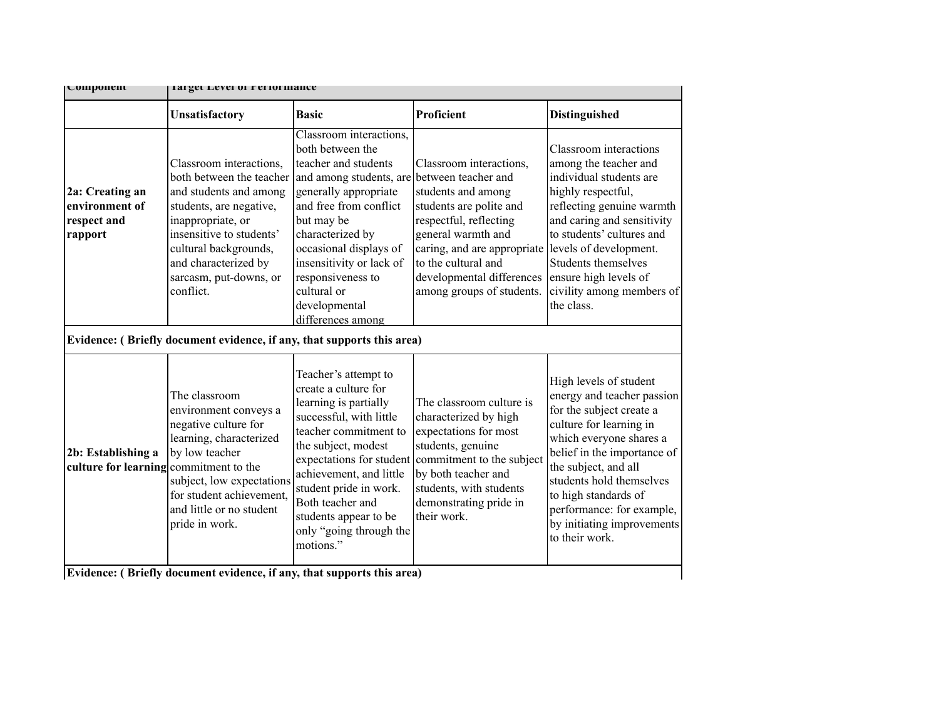| U0111ponent<br>Target Level of Feriormance                   |                                                                                                                                                                                                                                                                                                                             |                                                                                                                                                                                                                                                                                                                     |                                                                                                                                                                                                                                                                 |                                                                                                                                                                                                                                                                                                                                |  |
|--------------------------------------------------------------|-----------------------------------------------------------------------------------------------------------------------------------------------------------------------------------------------------------------------------------------------------------------------------------------------------------------------------|---------------------------------------------------------------------------------------------------------------------------------------------------------------------------------------------------------------------------------------------------------------------------------------------------------------------|-----------------------------------------------------------------------------------------------------------------------------------------------------------------------------------------------------------------------------------------------------------------|--------------------------------------------------------------------------------------------------------------------------------------------------------------------------------------------------------------------------------------------------------------------------------------------------------------------------------|--|
|                                                              | Unsatisfactory                                                                                                                                                                                                                                                                                                              | <b>Basic</b>                                                                                                                                                                                                                                                                                                        | Proficient                                                                                                                                                                                                                                                      | <b>Distinguished</b>                                                                                                                                                                                                                                                                                                           |  |
| 2a: Creating an<br>environment of<br>respect and<br>rapport  | Classroom interactions,<br>both between the teacher<br>and students and among<br>students, are negative,<br>inappropriate, or<br>insensitive to students'<br>cultural backgrounds,<br>and characterized by<br>sarcasm, put-downs, or<br>conflict.<br>Evidence: (Briefly document evidence, if any, that supports this area) | Classroom interactions,<br>both between the<br>teacher and students<br>and among students, are<br>generally appropriate<br>and free from conflict<br>but may be<br>characterized by<br>occasional displays of<br>insensitivity or lack of<br>responsiveness to<br>cultural or<br>developmental<br>differences among | Classroom interactions,<br>between teacher and<br>students and among<br>students are polite and<br>respectful, reflecting<br>general warmth and<br>caring, and are appropriate<br>to the cultural and<br>developmental differences<br>among groups of students. | Classroom interactions<br>among the teacher and<br>individual students are<br>highly respectful,<br>reflecting genuine warmth<br>and caring and sensitivity<br>to students' cultures and<br>levels of development.<br>Students themselves<br>ensure high levels of<br>civility among members of<br>the class.                  |  |
| 2b: Establishing a<br>culture for learning commitment to the | The classroom<br>environment conveys a<br>negative culture for<br>learning, characterized<br>by low teacher<br>subject, low expectations<br>for student achievement,<br>and little or no student<br>pride in work.<br>Evidence: (Briefly document evidence, if any, that supports this area)                                | Teacher's attempt to<br>create a culture for<br>learning is partially<br>successful, with little<br>teacher commitment to<br>the subject, modest<br>achievement, and little<br>student pride in work.<br>Both teacher and<br>students appear to be<br>only "going through the<br>motions."                          | The classroom culture is<br>characterized by high<br>expectations for most<br>students, genuine<br>expectations for student commitment to the subject<br>by both teacher and<br>students, with students<br>demonstrating pride in<br>their work.                | High levels of student<br>energy and teacher passion<br>for the subject create a<br>culture for learning in<br>which everyone shares a<br>belief in the importance of<br>the subject, and all<br>students hold themselves<br>to high standards of<br>performance: for example,<br>by initiating improvements<br>to their work. |  |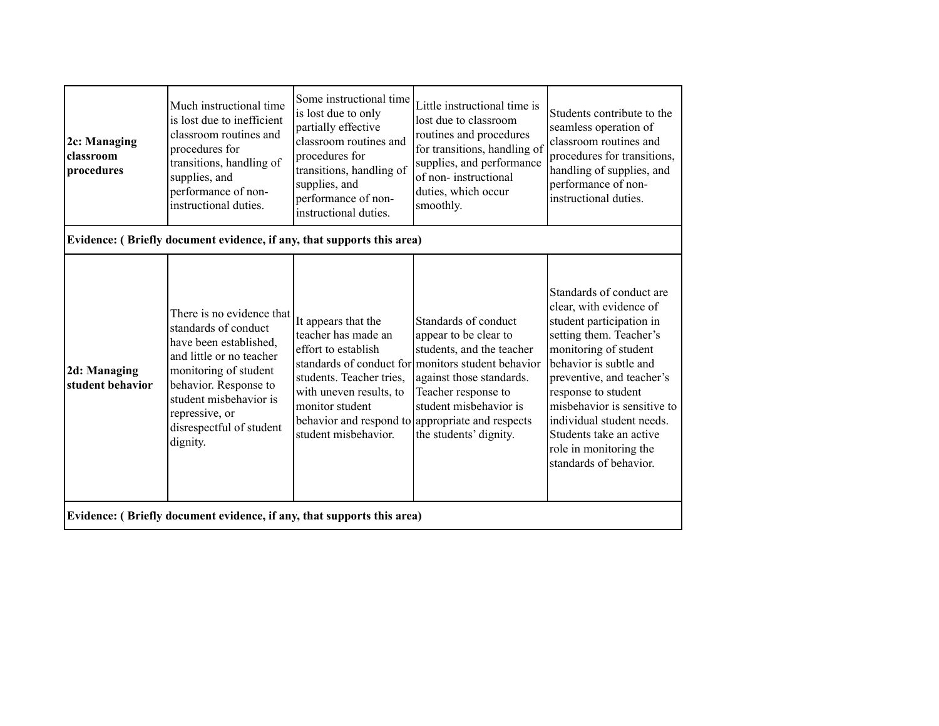| 2c: Managing<br>classroom<br>procedures | Much instructional time<br>is lost due to inefficient<br>classroom routines and<br>procedures for<br>transitions, handling of<br>supplies, and<br>performance of non-<br>instructional duties.                                                | Some instructional time<br>is lost due to only<br>partially effective<br>classroom routines and<br>procedures for<br>transitions, handling of<br>supplies, and<br>performance of non-<br>instructional duties. | Little instructional time is<br>lost due to classroom<br>routines and procedures<br>for transitions, handling of<br>supplies, and performance<br>of non-instructional<br>duties, which occur<br>smoothly.                                                                                   | Students contribute to the<br>seamless operation of<br>classroom routines and<br>procedures for transitions,<br>handling of supplies, and<br>performance of non-<br>instructional duties.                                                                                                                                                                    |
|-----------------------------------------|-----------------------------------------------------------------------------------------------------------------------------------------------------------------------------------------------------------------------------------------------|----------------------------------------------------------------------------------------------------------------------------------------------------------------------------------------------------------------|---------------------------------------------------------------------------------------------------------------------------------------------------------------------------------------------------------------------------------------------------------------------------------------------|--------------------------------------------------------------------------------------------------------------------------------------------------------------------------------------------------------------------------------------------------------------------------------------------------------------------------------------------------------------|
|                                         | Evidence: (Briefly document evidence, if any, that supports this area)                                                                                                                                                                        |                                                                                                                                                                                                                |                                                                                                                                                                                                                                                                                             |                                                                                                                                                                                                                                                                                                                                                              |
| 2d: Managing<br>student behavior        | There is no evidence that<br>standards of conduct<br>have been established,<br>and little or no teacher<br>monitoring of student<br>behavior. Response to<br>student misbehavior is<br>repressive, or<br>disrespectful of student<br>dignity. | It appears that the<br>teacher has made an<br>effort to establish<br>students. Teacher tries,<br>with uneven results, to<br>monitor student<br>student misbehavior.                                            | Standards of conduct<br>appear to be clear to<br>students, and the teacher<br>standards of conduct for monitors student behavior<br>against those standards.<br>Teacher response to<br>student misbehavior is<br>behavior and respond to appropriate and respects<br>the students' dignity. | Standards of conduct are<br>clear, with evidence of<br>student participation in<br>setting them. Teacher's<br>monitoring of student<br>behavior is subtle and<br>preventive, and teacher's<br>response to student<br>misbehavior is sensitive to<br>individual student needs.<br>Students take an active<br>role in monitoring the<br>standards of behavior. |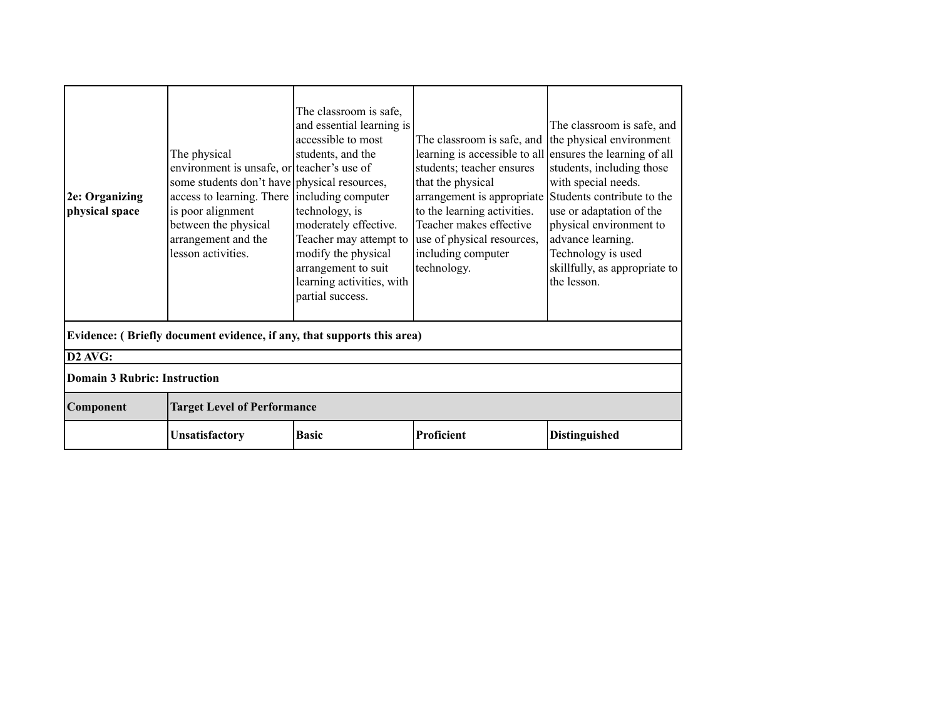| 2e: Organizing<br>physical space                                       | The physical<br>environment is unsafe, or teacher's use of<br>some students don't have physical resources,<br>access to learning. There including computer<br>is poor alignment<br>between the physical<br>arrangement and the<br>lesson activities. | The classroom is safe,<br>and essential learning is<br>accessible to most<br>students, and the<br>technology, is<br>moderately effective.<br>Teacher may attempt to<br>modify the physical<br>arrangement to suit<br>learning activities, with<br>partial success. | The classroom is safe, and the physical environment<br>learning is accessible to all ensures the learning of all<br>students; teacher ensures<br>that the physical<br>arrangement is appropriate Students contribute to the<br>to the learning activities.<br>Teacher makes effective<br>use of physical resources,<br>including computer<br>technology. | The classroom is safe, and<br>students, including those<br>with special needs.<br>use or adaptation of the<br>physical environment to<br>advance learning.<br>Technology is used<br>skillfully, as appropriate to<br>the lesson. |  |  |
|------------------------------------------------------------------------|------------------------------------------------------------------------------------------------------------------------------------------------------------------------------------------------------------------------------------------------------|--------------------------------------------------------------------------------------------------------------------------------------------------------------------------------------------------------------------------------------------------------------------|----------------------------------------------------------------------------------------------------------------------------------------------------------------------------------------------------------------------------------------------------------------------------------------------------------------------------------------------------------|----------------------------------------------------------------------------------------------------------------------------------------------------------------------------------------------------------------------------------|--|--|
| Evidence: (Briefly document evidence, if any, that supports this area) |                                                                                                                                                                                                                                                      |                                                                                                                                                                                                                                                                    |                                                                                                                                                                                                                                                                                                                                                          |                                                                                                                                                                                                                                  |  |  |
| D2 AVG:                                                                |                                                                                                                                                                                                                                                      |                                                                                                                                                                                                                                                                    |                                                                                                                                                                                                                                                                                                                                                          |                                                                                                                                                                                                                                  |  |  |
| Domain 3 Rubric: Instruction                                           |                                                                                                                                                                                                                                                      |                                                                                                                                                                                                                                                                    |                                                                                                                                                                                                                                                                                                                                                          |                                                                                                                                                                                                                                  |  |  |
| Component                                                              | <b>Target Level of Performance</b>                                                                                                                                                                                                                   |                                                                                                                                                                                                                                                                    |                                                                                                                                                                                                                                                                                                                                                          |                                                                                                                                                                                                                                  |  |  |
|                                                                        | Unsatisfactory                                                                                                                                                                                                                                       | <b>Basic</b>                                                                                                                                                                                                                                                       | Proficient                                                                                                                                                                                                                                                                                                                                               | <b>Distinguished</b>                                                                                                                                                                                                             |  |  |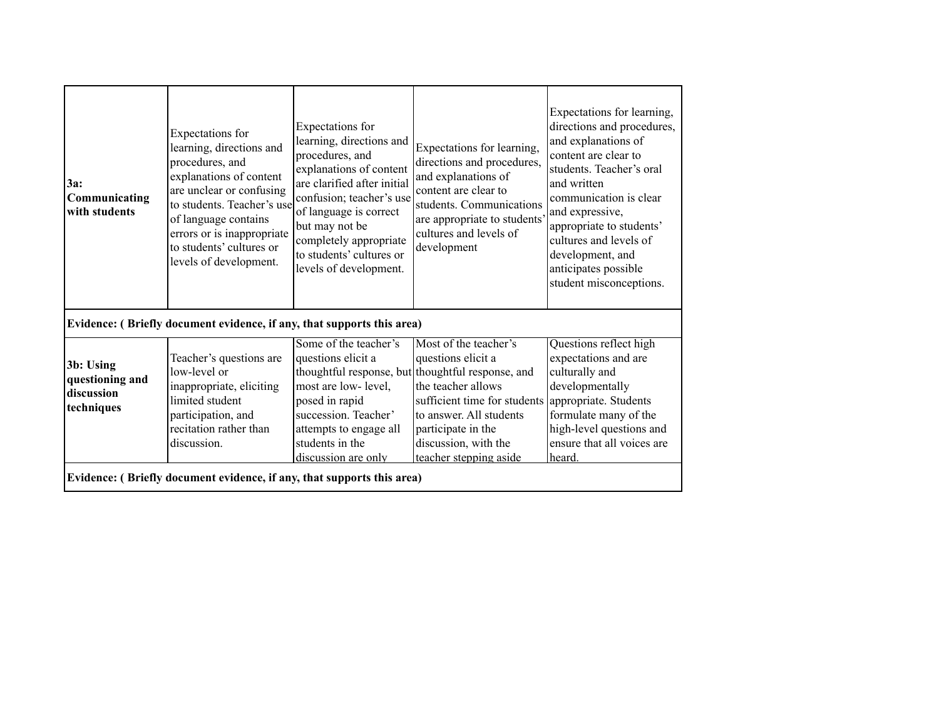| Evidence: (Briefly document evidence, if any, that supports this area)<br>Some of the teacher's<br>Most of the teacher's<br>Questions reflect high<br>questions elicit a<br>expectations and are<br>questions elicit a<br>Teacher's questions are<br>3b: Using<br>low-level or<br>thoughtful response, but thoughtful response, and<br>culturally and<br>questioning and<br>most are low-level,<br>the teacher allows<br>developmentally<br>inappropriate, eliciting<br>discussion<br>limited student<br>sufficient time for students appropriate. Students<br>posed in rapid | 3a:<br>Communicating<br>with students | Expectations for<br>learning, directions and<br>procedures, and<br>explanations of content<br>are unclear or confusing<br>to students. Teacher's use<br>of language contains<br>errors or is inappropriate<br>to students' cultures or<br>levels of development. | Expectations for<br>learning, directions and<br>procedures, and<br>explanations of content<br>are clarified after initial<br>confusion; teacher's use<br>of language is correct<br>but may not be<br>completely appropriate<br>to students' cultures or<br>levels of development. | Expectations for learning,<br>directions and procedures,<br>and explanations of<br>content are clear to<br>students. Communications<br>are appropriate to students'<br>cultures and levels of<br>development | Expectations for learning,<br>directions and procedures,<br>and explanations of<br>content are clear to<br>students. Teacher's oral<br>and written<br>communication is clear<br>and expressive,<br>appropriate to students'<br>cultures and levels of<br>development, and<br>anticipates possible<br>student misconceptions. |  |  |
|-------------------------------------------------------------------------------------------------------------------------------------------------------------------------------------------------------------------------------------------------------------------------------------------------------------------------------------------------------------------------------------------------------------------------------------------------------------------------------------------------------------------------------------------------------------------------------|---------------------------------------|------------------------------------------------------------------------------------------------------------------------------------------------------------------------------------------------------------------------------------------------------------------|-----------------------------------------------------------------------------------------------------------------------------------------------------------------------------------------------------------------------------------------------------------------------------------|--------------------------------------------------------------------------------------------------------------------------------------------------------------------------------------------------------------|------------------------------------------------------------------------------------------------------------------------------------------------------------------------------------------------------------------------------------------------------------------------------------------------------------------------------|--|--|
|                                                                                                                                                                                                                                                                                                                                                                                                                                                                                                                                                                               |                                       |                                                                                                                                                                                                                                                                  |                                                                                                                                                                                                                                                                                   |                                                                                                                                                                                                              |                                                                                                                                                                                                                                                                                                                              |  |  |
| techniques<br>succession. Teacher'<br>formulate many of the<br>participation, and<br>to answer. All students<br>high-level questions and<br>recitation rather than<br>participate in the<br>attempts to engage all<br>discussion, with the<br>ensure that all voices are<br>discussion.<br>students in the<br>teacher stepping aside<br>heard.<br>discussion are only                                                                                                                                                                                                         |                                       |                                                                                                                                                                                                                                                                  |                                                                                                                                                                                                                                                                                   |                                                                                                                                                                                                              |                                                                                                                                                                                                                                                                                                                              |  |  |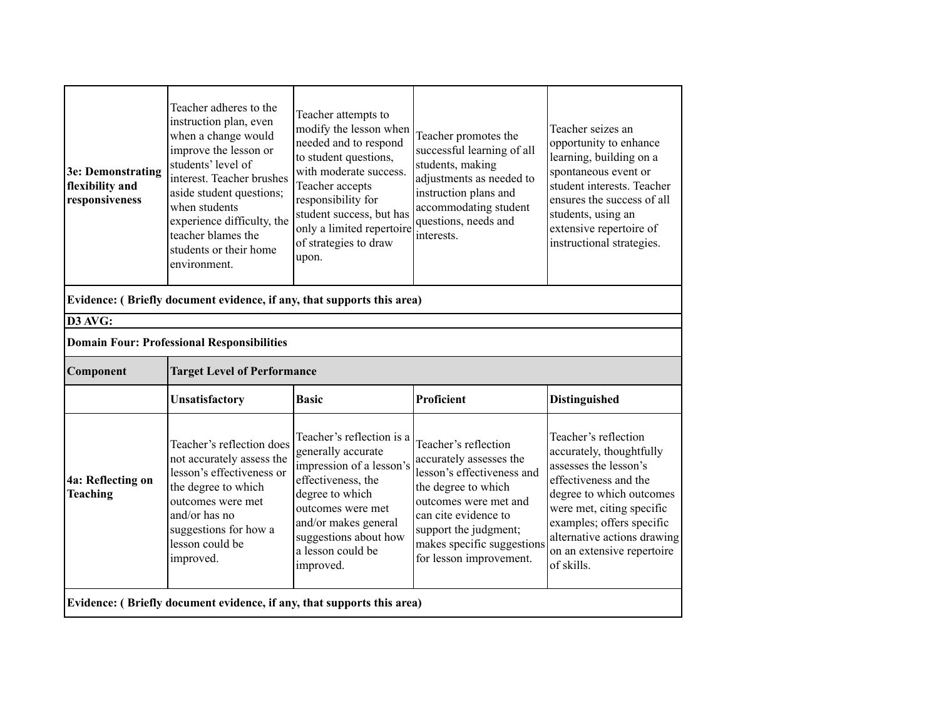| 3e: Demonstrating<br>flexibility and<br>responsiveness                 | Teacher adheres to the<br>instruction plan, even<br>when a change would<br>improve the lesson or<br>students' level of<br>interest. Teacher brushes<br>aside student questions;<br>when students<br>experience difficulty, the<br>teacher blames the<br>students or their home<br>environment. | Teacher attempts to<br>modify the lesson when<br>needed and to respond<br>to student questions,<br>with moderate success.<br>Teacher accepts<br>responsibility for<br>student success, but has<br>only a limited repertoire<br>of strategies to draw<br>upon. | Teacher promotes the<br>successful learning of all<br>students, making<br>adjustments as needed to<br>instruction plans and<br>accommodating student<br>questions, needs and<br>interests. | Teacher seizes an<br>opportunity to enhance<br>learning, building on a<br>spontaneous event or<br>student interests. Teacher<br>ensures the success of all<br>students, using an<br>extensive repertoire of<br>instructional strategies. |  |  |  |
|------------------------------------------------------------------------|------------------------------------------------------------------------------------------------------------------------------------------------------------------------------------------------------------------------------------------------------------------------------------------------|---------------------------------------------------------------------------------------------------------------------------------------------------------------------------------------------------------------------------------------------------------------|--------------------------------------------------------------------------------------------------------------------------------------------------------------------------------------------|------------------------------------------------------------------------------------------------------------------------------------------------------------------------------------------------------------------------------------------|--|--|--|
| Evidence: (Briefly document evidence, if any, that supports this area) |                                                                                                                                                                                                                                                                                                |                                                                                                                                                                                                                                                               |                                                                                                                                                                                            |                                                                                                                                                                                                                                          |  |  |  |
| D3 AVG:<br><b>Domain Four: Professional Responsibilities</b>           |                                                                                                                                                                                                                                                                                                |                                                                                                                                                                                                                                                               |                                                                                                                                                                                            |                                                                                                                                                                                                                                          |  |  |  |
| Component                                                              | <b>Target Level of Performance</b>                                                                                                                                                                                                                                                             |                                                                                                                                                                                                                                                               |                                                                                                                                                                                            |                                                                                                                                                                                                                                          |  |  |  |
|                                                                        | Unsatisfactory                                                                                                                                                                                                                                                                                 | <b>Basic</b>                                                                                                                                                                                                                                                  | Proficient                                                                                                                                                                                 | <b>Distinguished</b>                                                                                                                                                                                                                     |  |  |  |
| 4a: Reflecting on<br><b>Teaching</b>                                   | Teacher's reflection does<br>not accurately assess the<br>lesson's effectiveness or<br>the degree to which<br>outcomes were met<br>and/or has no                                                                                                                                               | Teacher's reflection is a<br>generally accurate<br>impression of a lesson's<br>effectiveness, the<br>degree to which<br>outcomes were met<br>and/or makes general                                                                                             | Teacher's reflection<br>accurately assesses the<br>lesson's effectiveness and<br>the degree to which<br>outcomes were met and<br>can cite evidence to                                      | Teacher's reflection<br>accurately, thoughtfully<br>assesses the lesson's<br>effectiveness and the<br>degree to which outcomes<br>were met, citing specific<br>examples; offers specific                                                 |  |  |  |
|                                                                        | suggestions for how a<br>lesson could be<br>improved.                                                                                                                                                                                                                                          | suggestions about how<br>a lesson could be<br>improved.                                                                                                                                                                                                       | support the judgment;<br>makes specific suggestions<br>for lesson improvement.                                                                                                             | alternative actions drawing<br>on an extensive repertoire<br>of skills.                                                                                                                                                                  |  |  |  |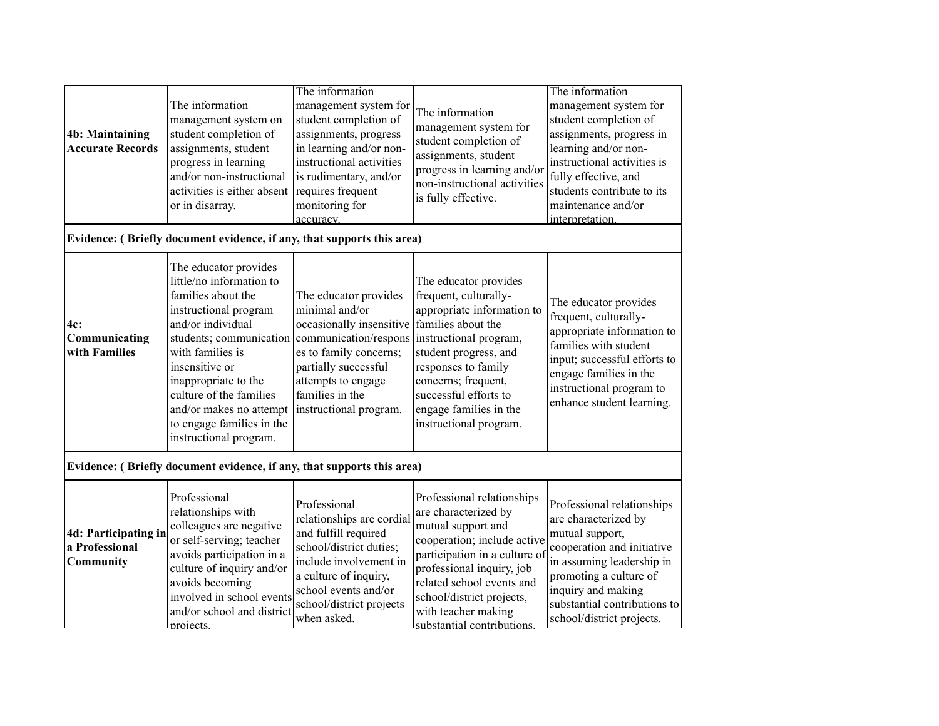| <b>4b: Maintaining</b><br><b>Accurate Records</b>                      | The information<br>management system on<br>student completion of<br>assignments, student<br>progress in learning<br>and/or non-instructional<br>activities is either absent<br>or in disarray.                                                                                                                                                    | The information<br>management system for<br>student completion of<br>assignments, progress<br>in learning and/or non-<br>instructional activities<br>is rudimentary, and/or<br>requires frequent<br>monitoring for<br>accuracy. | The information<br>management system for<br>student completion of<br>assignments, student<br>progress in learning and/or<br>non-instructional activities<br>is fully effective.                                                                                                      | The information<br>management system for<br>student completion of<br>assignments, progress in<br>learning and/or non-<br>instructional activities is<br>fully effective, and<br>students contribute to its<br>maintenance and/or<br>interpretation. |  |
|------------------------------------------------------------------------|---------------------------------------------------------------------------------------------------------------------------------------------------------------------------------------------------------------------------------------------------------------------------------------------------------------------------------------------------|---------------------------------------------------------------------------------------------------------------------------------------------------------------------------------------------------------------------------------|--------------------------------------------------------------------------------------------------------------------------------------------------------------------------------------------------------------------------------------------------------------------------------------|-----------------------------------------------------------------------------------------------------------------------------------------------------------------------------------------------------------------------------------------------------|--|
|                                                                        | Evidence: (Briefly document evidence, if any, that supports this area)                                                                                                                                                                                                                                                                            |                                                                                                                                                                                                                                 |                                                                                                                                                                                                                                                                                      |                                                                                                                                                                                                                                                     |  |
| 4c:<br>Communicating<br>with Families                                  | The educator provides<br>little/no information to<br>families about the<br>instructional program<br>and/or individual<br>students; communication communication/respons<br>with families is<br>insensitive or<br>inappropriate to the<br>culture of the families<br>and/or makes no attempt<br>to engage families in the<br>instructional program. | The educator provides<br>minimal and/or<br>occasionally insensitive<br>es to family concerns;<br>partially successful<br>attempts to engage<br>families in the<br>instructional program.                                        | The educator provides<br>frequent, culturally-<br>appropriate information to<br>families about the<br>instructional program,<br>student progress, and<br>responses to family<br>concerns; frequent,<br>successful efforts to<br>engage families in the<br>instructional program.     | The educator provides<br>frequent, culturally-<br>appropriate information to<br>families with student<br>input; successful efforts to<br>engage families in the<br>instructional program to<br>enhance student learning.                            |  |
| Evidence: (Briefly document evidence, if any, that supports this area) |                                                                                                                                                                                                                                                                                                                                                   |                                                                                                                                                                                                                                 |                                                                                                                                                                                                                                                                                      |                                                                                                                                                                                                                                                     |  |
| 4d: Participating in<br>a Professional<br>Community                    | Professional<br>relationships with<br>colleagues are negative<br>or self-serving; teacher<br>avoids participation in a<br>culture of inquiry and/or<br>avoids becoming<br>involved in school events<br>and/or school and district<br>Inrojects.                                                                                                   | Professional<br>relationships are cordial<br>and fulfill required<br>school/district duties;<br>include involvement in<br>a culture of inquiry,<br>school events and/or<br>school/district projects<br>when asked.              | Professional relationships<br>are characterized by<br>mutual support and<br>cooperation; include active<br>participation in a culture of<br>professional inquiry, job<br>related school events and<br>school/district projects,<br>with teacher making<br>substantial contributions. | Professional relationships<br>are characterized by<br>mutual support,<br>cooperation and initiative<br>in assuming leadership in<br>promoting a culture of<br>inquiry and making<br>substantial contributions to<br>school/district projects.       |  |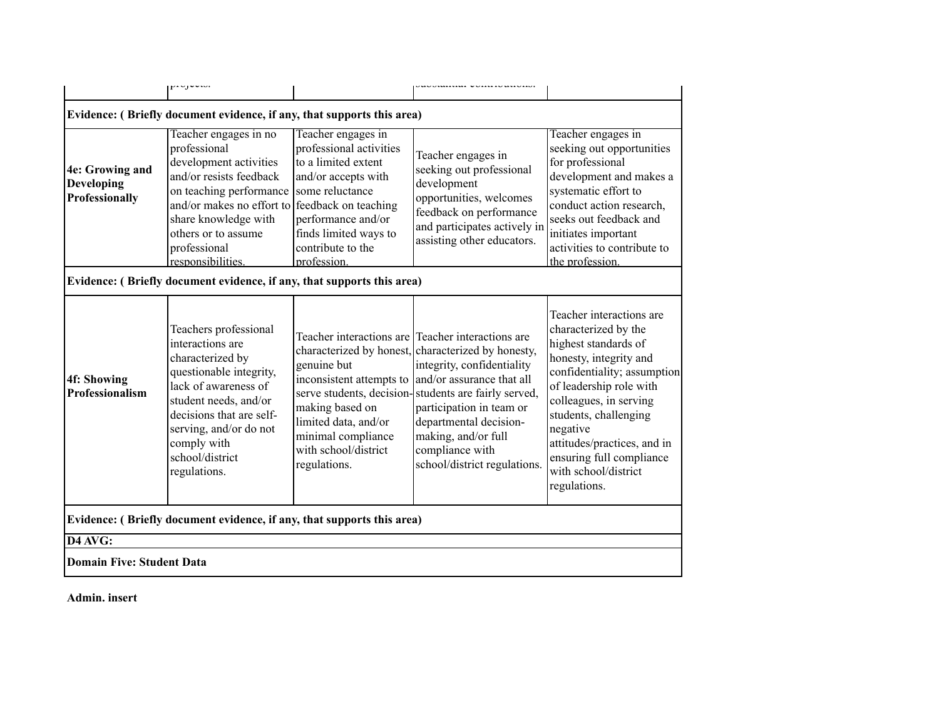|                                                                        | . ساختار با دور                                                                                                                                                                                                                                                             |                                                                                                                                                                                | UMBINIMI VUIIDIIUMBIVII                                                                                                                                                                                                                                                                                                                                                              |                                                                                                                                                                                                                                                                                                                                |  |  |  |  |
|------------------------------------------------------------------------|-----------------------------------------------------------------------------------------------------------------------------------------------------------------------------------------------------------------------------------------------------------------------------|--------------------------------------------------------------------------------------------------------------------------------------------------------------------------------|--------------------------------------------------------------------------------------------------------------------------------------------------------------------------------------------------------------------------------------------------------------------------------------------------------------------------------------------------------------------------------------|--------------------------------------------------------------------------------------------------------------------------------------------------------------------------------------------------------------------------------------------------------------------------------------------------------------------------------|--|--|--|--|
|                                                                        | Evidence: (Briefly document evidence, if any, that supports this area)                                                                                                                                                                                                      |                                                                                                                                                                                |                                                                                                                                                                                                                                                                                                                                                                                      |                                                                                                                                                                                                                                                                                                                                |  |  |  |  |
| 4e: Growing and<br>Developing<br>Professionally                        | Teacher engages in no<br>professional<br>development activities<br>and/or resists feedback<br>on teaching performance some reluctance<br>and/or makes no effort to reedback on teaching<br>share knowledge with<br>others or to assume<br>professional<br>responsibilities. | Teacher engages in<br>professional activities<br>to a limited extent<br>and/or accepts with<br>performance and/or<br>finds limited ways to<br>contribute to the<br>profession. | Teacher engages in<br>seeking out professional<br>development<br>opportunities, welcomes<br>feedback on performance<br>and participates actively in<br>assisting other educators.                                                                                                                                                                                                    | Teacher engages in<br>seeking out opportunities<br>for professional<br>development and makes a<br>systematic effort to<br>conduct action research,<br>seeks out feedback and<br>initiates important<br>activities to contribute to<br>the profession.                                                                          |  |  |  |  |
| Evidence: (Briefly document evidence, if any, that supports this area) |                                                                                                                                                                                                                                                                             |                                                                                                                                                                                |                                                                                                                                                                                                                                                                                                                                                                                      |                                                                                                                                                                                                                                                                                                                                |  |  |  |  |
| 4f: Showing<br>Professionalism                                         | Teachers professional<br>interactions are<br>characterized by<br>questionable integrity,<br>lack of awareness of<br>student needs, and/or<br>decisions that are self-<br>serving, and/or do not<br>comply with<br>school/district<br>regulations.                           | genuine but<br>making based on<br>limited data, and/or<br>minimal compliance<br>with school/district<br>regulations.                                                           | Teacher interactions are Teacher interactions are<br>characterized by honest, characterized by honesty,<br>integrity, confidentiality<br>inconsistent attempts to  and/or assurance that all<br>serve students, decision-students are fairly served,<br>participation in team or<br>departmental decision-<br>making, and/or full<br>compliance with<br>school/district regulations. | Teacher interactions are<br>characterized by the<br>highest standards of<br>honesty, integrity and<br>confidentiality; assumption<br>of leadership role with<br>colleagues, in serving<br>students, challenging<br>negative<br>attitudes/practices, and in<br>ensuring full compliance<br>with school/district<br>regulations. |  |  |  |  |
| Evidence: (Briefly document evidence, if any, that supports this area) |                                                                                                                                                                                                                                                                             |                                                                                                                                                                                |                                                                                                                                                                                                                                                                                                                                                                                      |                                                                                                                                                                                                                                                                                                                                |  |  |  |  |
| D4 AVG:                                                                |                                                                                                                                                                                                                                                                             |                                                                                                                                                                                |                                                                                                                                                                                                                                                                                                                                                                                      |                                                                                                                                                                                                                                                                                                                                |  |  |  |  |
| Domain Five: Student Data                                              |                                                                                                                                                                                                                                                                             |                                                                                                                                                                                |                                                                                                                                                                                                                                                                                                                                                                                      |                                                                                                                                                                                                                                                                                                                                |  |  |  |  |

**Admin. insert**